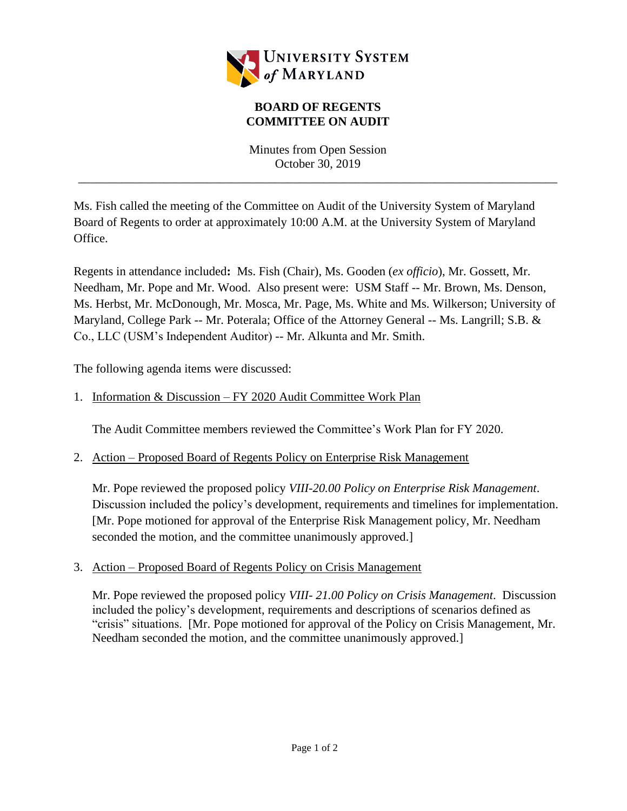

## **BOARD OF REGENTS COMMITTEE ON AUDIT**

Minutes from Open Session October 30, 2019

\_\_\_\_\_\_\_\_\_\_\_\_\_\_\_\_\_\_\_\_\_\_\_\_\_\_\_\_\_\_\_\_\_\_\_\_\_\_\_\_\_\_\_\_\_\_\_\_\_\_\_\_\_\_\_\_\_\_\_\_\_\_\_\_\_\_\_\_\_\_\_\_\_\_\_\_\_\_

Ms. Fish called the meeting of the Committee on Audit of the University System of Maryland Board of Regents to order at approximately 10:00 A.M. at the University System of Maryland Office.

Regents in attendance included**:** Ms. Fish (Chair), Ms. Gooden (*ex officio*), Mr. Gossett, Mr. Needham, Mr. Pope and Mr. Wood. Also present were: USM Staff -- Mr. Brown, Ms. Denson, Ms. Herbst, Mr. McDonough, Mr. Mosca, Mr. Page, Ms. White and Ms. Wilkerson; University of Maryland, College Park -- Mr. Poterala; Office of the Attorney General -- Ms. Langrill; S.B. & Co., LLC (USM's Independent Auditor) -- Mr. Alkunta and Mr. Smith.

The following agenda items were discussed:

# 1. Information & Discussion – FY 2020 Audit Committee Work Plan

The Audit Committee members reviewed the Committee's Work Plan for FY 2020.

## 2. Action – Proposed Board of Regents Policy on Enterprise Risk Management

Mr. Pope reviewed the proposed policy *VIII-20.00 Policy on Enterprise Risk Management*. Discussion included the policy's development, requirements and timelines for implementation. [Mr. Pope motioned for approval of the Enterprise Risk Management policy, Mr. Needham seconded the motion, and the committee unanimously approved.

## 3. Action – Proposed Board of Regents Policy on Crisis Management

Mr. Pope reviewed the proposed policy *VIII- 21.00 Policy on Crisis Management*. Discussion included the policy's development, requirements and descriptions of scenarios defined as "crisis" situations. [Mr. Pope motioned for approval of the Policy on Crisis Management, Mr. Needham seconded the motion, and the committee unanimously approved.]